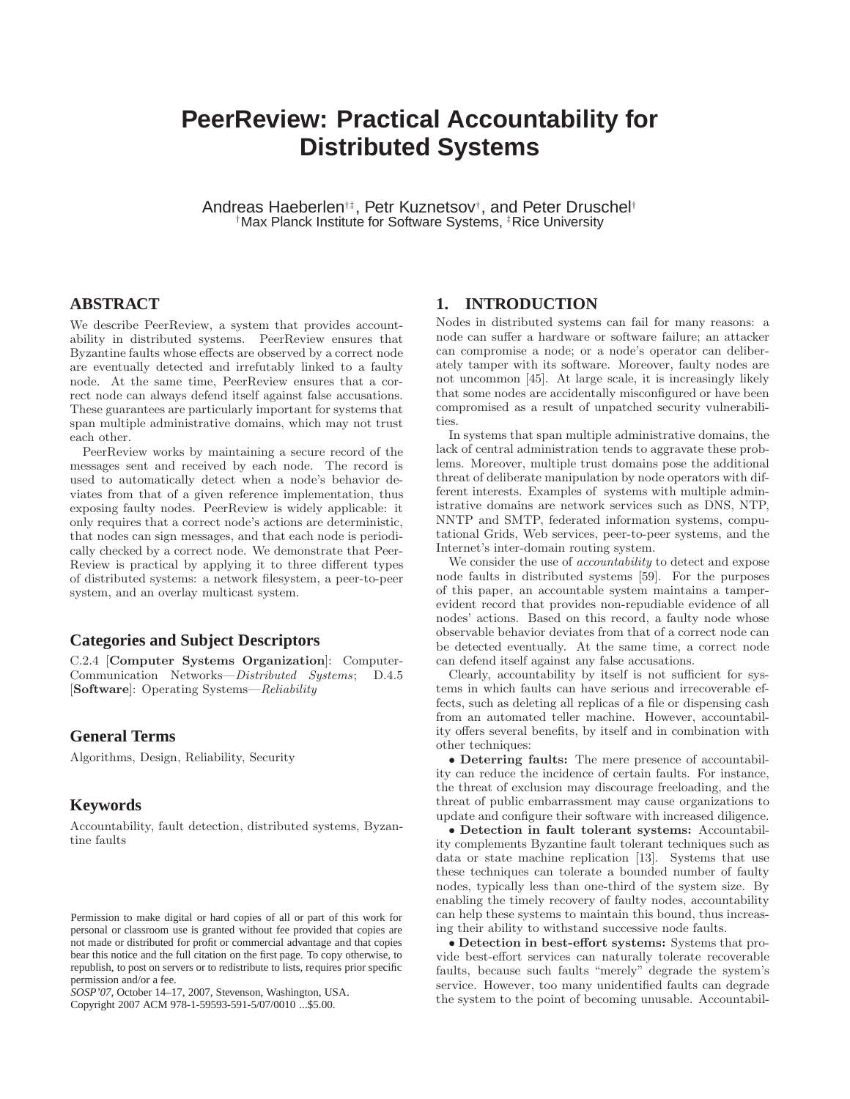# **PeerReview: Practical Accountability for Distributed Systems**

Andreas Haeberlen†‡ , Petr Kuznetsov† , and Peter Druschel† †Max Planck Institute for Software Systems, ‡Rice University

# **ABSTRACT**

We describe PeerReview, a system that provides accountability in distributed systems. PeerReview ensures that Byzantine faults whose effects are observed by a correct node are eventually detected and irrefutably linked to a faulty node. At the same time, PeerReview ensures that a correct node can always defend itself against false accusations. These guarantees are particularly important for systems that span multiple administrative domains, which may not trust each other.

PeerReview works by maintaining a secure record of the messages sent and received by each node. The record is used to automatically detect when a node's behavior deviates from that of a given reference implementation, thus exposing faulty nodes. PeerReview is widely applicable: it only requires that a correct node's actions are deterministic, that nodes can sign messages, and that each node is periodically checked by a correct node. We demonstrate that Peer-Review is practical by applying it to three different types of distributed systems: a network filesystem, a peer-to-peer system, and an overlay multicast system.

# **Categories and Subject Descriptors**

C.2.4 [Computer Systems Organization]: Computer-Communication Networks—Distributed Systems; D.4.5 [Software]: Operating Systems—Reliability

## **General Terms**

Algorithms, Design, Reliability, Security

# **Keywords**

Accountability, fault detection, distributed systems, Byzantine faults

*SOSP'07,* October 14–17, 2007, Stevenson, Washington, USA.

Copyright 2007 ACM 978-1-59593-591-5/07/0010 ...\$5.00.

#### **1. INTRODUCTION**

Nodes in distributed systems can fail for many reasons: a node can suffer a hardware or software failure; an attacker can compromise a node; or a node's operator can deliberately tamper with its software. Moreover, faulty nodes are not uncommon [45]. At large scale, it is increasingly likely that some nodes are accidentally misconfigured or have been compromised as a result of unpatched security vulnerabilities.

In systems that span multiple administrative domains, the lack of central administration tends to aggravate these problems. Moreover, multiple trust domains pose the additional threat of deliberate manipulation by node operators with different interests. Examples of systems with multiple administrative domains are network services such as DNS, NTP, NNTP and SMTP, federated information systems, computational Grids, Web services, peer-to-peer systems, and the Internet's inter-domain routing system.

We consider the use of *accountability* to detect and expose node faults in distributed systems [59]. For the purposes of this paper, an accountable system maintains a tamperevident record that provides non-repudiable evidence of all nodes' actions. Based on this record, a faulty node whose observable behavior deviates from that of a correct node can be detected eventually. At the same time, a correct node can defend itself against any false accusations.

Clearly, accountability by itself is not sufficient for systems in which faults can have serious and irrecoverable effects, such as deleting all replicas of a file or dispensing cash from an automated teller machine. However, accountability offers several benefits, by itself and in combination with other techniques:

• Deterring faults: The mere presence of accountability can reduce the incidence of certain faults. For instance, the threat of exclusion may discourage freeloading, and the threat of public embarrassment may cause organizations to update and configure their software with increased diligence.

• Detection in fault tolerant systems: Accountability complements Byzantine fault tolerant techniques such as data or state machine replication [13]. Systems that use these techniques can tolerate a bounded number of faulty nodes, typically less than one-third of the system size. By enabling the timely recovery of faulty nodes, accountability can help these systems to maintain this bound, thus increasing their ability to withstand successive node faults.

• Detection in best-effort systems: Systems that provide best-effort services can naturally tolerate recoverable faults, because such faults "merely" degrade the system's service. However, too many unidentified faults can degrade the system to the point of becoming unusable. Accountabil-

Permission to make digital or hard copies of all or part of this work for personal or classroom use is granted without fee provided that copies are not made or distributed for profit or commercial advantage and that copies bear this notice and the full citation on the first page. To copy otherwise, to republish, to post on servers or to redistribute to lists, requires prior specific permission and/or a fee.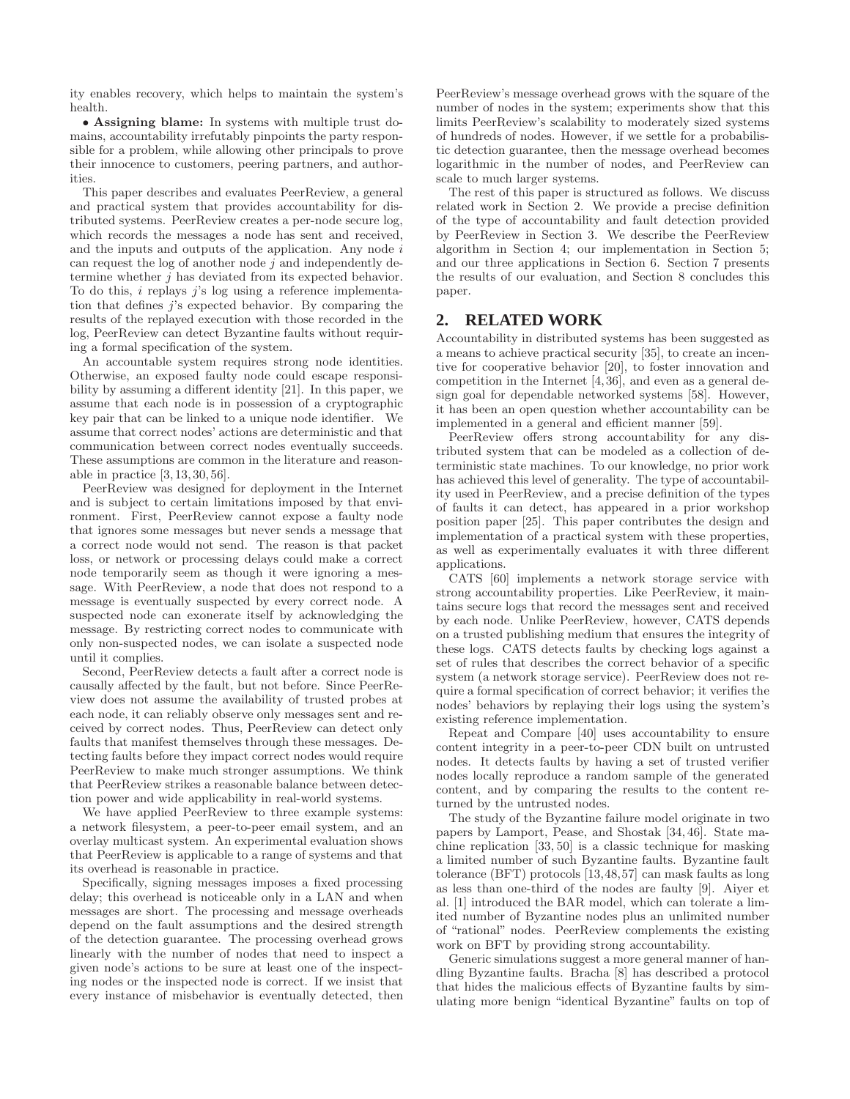ity enables recovery, which helps to maintain the system's health.

• Assigning blame: In systems with multiple trust domains, accountability irrefutably pinpoints the party responsible for a problem, while allowing other principals to prove their innocence to customers, peering partners, and authorities.

This paper describes and evaluates PeerReview, a general and practical system that provides accountability for distributed systems. PeerReview creates a per-node secure log, which records the messages a node has sent and received, and the inputs and outputs of the application. Any node  $i$ can request the log of another node  $j$  and independently determine whether j has deviated from its expected behavior. To do this,  $i$  replays  $j$ 's log using a reference implementation that defines  $j$ 's expected behavior. By comparing the results of the replayed execution with those recorded in the log, PeerReview can detect Byzantine faults without requiring a formal specification of the system.

An accountable system requires strong node identities. Otherwise, an exposed faulty node could escape responsibility by assuming a different identity [21]. In this paper, we assume that each node is in possession of a cryptographic key pair that can be linked to a unique node identifier. We assume that correct nodes' actions are deterministic and that communication between correct nodes eventually succeeds. These assumptions are common in the literature and reasonable in practice [3, 13, 30, 56].

PeerReview was designed for deployment in the Internet and is subject to certain limitations imposed by that environment. First, PeerReview cannot expose a faulty node that ignores some messages but never sends a message that a correct node would not send. The reason is that packet loss, or network or processing delays could make a correct node temporarily seem as though it were ignoring a message. With PeerReview, a node that does not respond to a message is eventually suspected by every correct node. A suspected node can exonerate itself by acknowledging the message. By restricting correct nodes to communicate with only non-suspected nodes, we can isolate a suspected node until it complies.

Second, PeerReview detects a fault after a correct node is causally affected by the fault, but not before. Since PeerReview does not assume the availability of trusted probes at each node, it can reliably observe only messages sent and received by correct nodes. Thus, PeerReview can detect only faults that manifest themselves through these messages. Detecting faults before they impact correct nodes would require PeerReview to make much stronger assumptions. We think that PeerReview strikes a reasonable balance between detection power and wide applicability in real-world systems.

We have applied PeerReview to three example systems: a network filesystem, a peer-to-peer email system, and an overlay multicast system. An experimental evaluation shows that PeerReview is applicable to a range of systems and that its overhead is reasonable in practice.

Specifically, signing messages imposes a fixed processing delay; this overhead is noticeable only in a LAN and when messages are short. The processing and message overheads depend on the fault assumptions and the desired strength of the detection guarantee. The processing overhead grows linearly with the number of nodes that need to inspect a given node's actions to be sure at least one of the inspecting nodes or the inspected node is correct. If we insist that every instance of misbehavior is eventually detected, then PeerReview's message overhead grows with the square of the number of nodes in the system; experiments show that this limits PeerReview's scalability to moderately sized systems of hundreds of nodes. However, if we settle for a probabilistic detection guarantee, then the message overhead becomes logarithmic in the number of nodes, and PeerReview can scale to much larger systems.

The rest of this paper is structured as follows. We discuss related work in Section 2. We provide a precise definition of the type of accountability and fault detection provided by PeerReview in Section 3. We describe the PeerReview algorithm in Section 4; our implementation in Section 5; and our three applications in Section 6. Section 7 presents the results of our evaluation, and Section 8 concludes this paper.

# **2. RELATED WORK**

Accountability in distributed systems has been suggested as a means to achieve practical security [35], to create an incentive for cooperative behavior [20], to foster innovation and competition in the Internet [4,36], and even as a general design goal for dependable networked systems [58]. However, it has been an open question whether accountability can be implemented in a general and efficient manner [59].

PeerReview offers strong accountability for any distributed system that can be modeled as a collection of deterministic state machines. To our knowledge, no prior work has achieved this level of generality. The type of accountability used in PeerReview, and a precise definition of the types of faults it can detect, has appeared in a prior workshop position paper [25]. This paper contributes the design and implementation of a practical system with these properties, as well as experimentally evaluates it with three different applications.

CATS [60] implements a network storage service with strong accountability properties. Like PeerReview, it maintains secure logs that record the messages sent and received by each node. Unlike PeerReview, however, CATS depends on a trusted publishing medium that ensures the integrity of these logs. CATS detects faults by checking logs against a set of rules that describes the correct behavior of a specific system (a network storage service). PeerReview does not require a formal specification of correct behavior; it verifies the nodes' behaviors by replaying their logs using the system's existing reference implementation.

Repeat and Compare [40] uses accountability to ensure content integrity in a peer-to-peer CDN built on untrusted nodes. It detects faults by having a set of trusted verifier nodes locally reproduce a random sample of the generated content, and by comparing the results to the content returned by the untrusted nodes.

The study of the Byzantine failure model originate in two papers by Lamport, Pease, and Shostak [34, 46]. State machine replication [33, 50] is a classic technique for masking a limited number of such Byzantine faults. Byzantine fault tolerance (BFT) protocols [13,48,57] can mask faults as long as less than one-third of the nodes are faulty [9]. Aiyer et al. [1] introduced the BAR model, which can tolerate a limited number of Byzantine nodes plus an unlimited number of "rational" nodes. PeerReview complements the existing work on BFT by providing strong accountability.

Generic simulations suggest a more general manner of handling Byzantine faults. Bracha [8] has described a protocol that hides the malicious effects of Byzantine faults by simulating more benign "identical Byzantine" faults on top of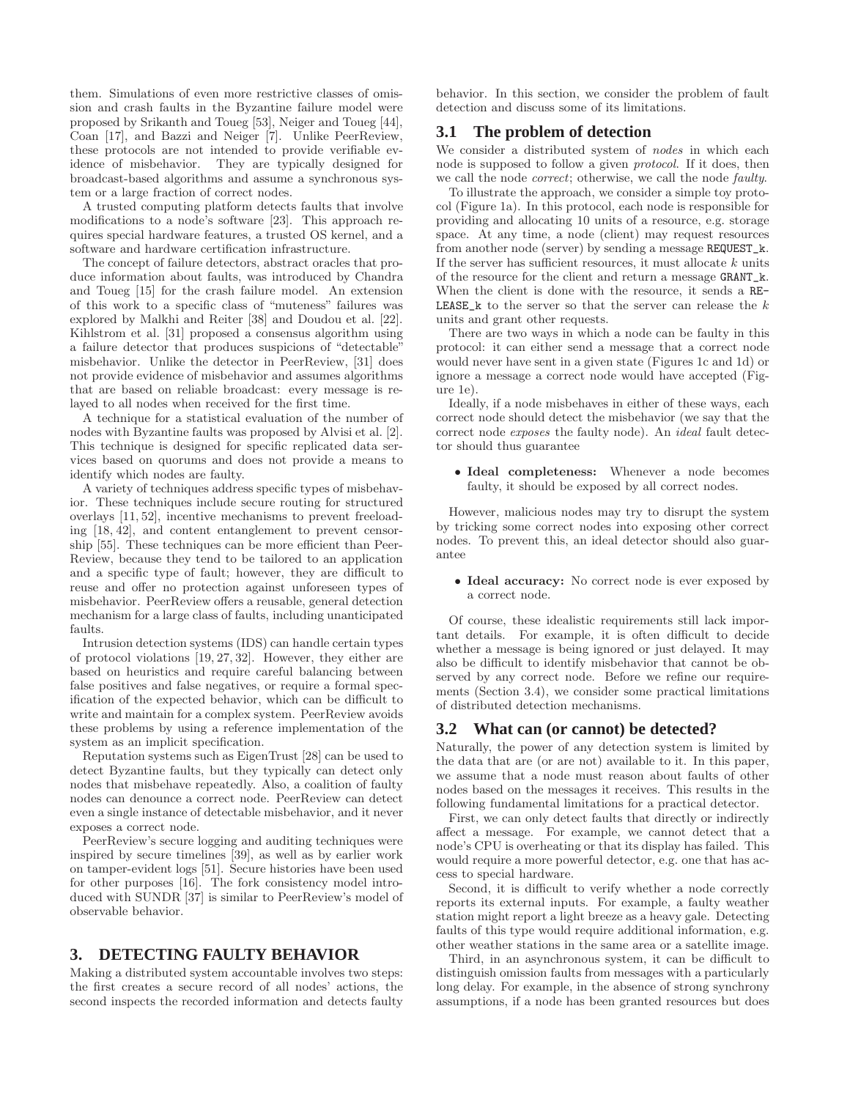them. Simulations of even more restrictive classes of omission and crash faults in the Byzantine failure model were proposed by Srikanth and Toueg [53], Neiger and Toueg [44], Coan [17], and Bazzi and Neiger [7]. Unlike PeerReview, these protocols are not intended to provide verifiable evidence of misbehavior. They are typically designed for broadcast-based algorithms and assume a synchronous system or a large fraction of correct nodes.

A trusted computing platform detects faults that involve modifications to a node's software [23]. This approach requires special hardware features, a trusted OS kernel, and a software and hardware certification infrastructure.

The concept of failure detectors, abstract oracles that produce information about faults, was introduced by Chandra and Toueg [15] for the crash failure model. An extension of this work to a specific class of "muteness" failures was explored by Malkhi and Reiter [38] and Doudou et al. [22]. Kihlstrom et al. [31] proposed a consensus algorithm using a failure detector that produces suspicions of "detectable" misbehavior. Unlike the detector in PeerReview, [31] does not provide evidence of misbehavior and assumes algorithms that are based on reliable broadcast: every message is relayed to all nodes when received for the first time.

A technique for a statistical evaluation of the number of nodes with Byzantine faults was proposed by Alvisi et al. [2]. This technique is designed for specific replicated data services based on quorums and does not provide a means to identify which nodes are faulty.

A variety of techniques address specific types of misbehavior. These techniques include secure routing for structured overlays [11, 52], incentive mechanisms to prevent freeloading [18, 42], and content entanglement to prevent censorship [55]. These techniques can be more efficient than Peer-Review, because they tend to be tailored to an application and a specific type of fault; however, they are difficult to reuse and offer no protection against unforeseen types of misbehavior. PeerReview offers a reusable, general detection mechanism for a large class of faults, including unanticipated faults.

Intrusion detection systems (IDS) can handle certain types of protocol violations [19, 27, 32]. However, they either are based on heuristics and require careful balancing between false positives and false negatives, or require a formal specification of the expected behavior, which can be difficult to write and maintain for a complex system. PeerReview avoids these problems by using a reference implementation of the system as an implicit specification.

Reputation systems such as EigenTrust [28] can be used to detect Byzantine faults, but they typically can detect only nodes that misbehave repeatedly. Also, a coalition of faulty nodes can denounce a correct node. PeerReview can detect even a single instance of detectable misbehavior, and it never exposes a correct node.

PeerReview's secure logging and auditing techniques were inspired by secure timelines [39], as well as by earlier work on tamper-evident logs [51]. Secure histories have been used for other purposes [16]. The fork consistency model introduced with SUNDR [37] is similar to PeerReview's model of observable behavior.

# **3. DETECTING FAULTY BEHAVIOR**

Making a distributed system accountable involves two steps: the first creates a secure record of all nodes' actions, the second inspects the recorded information and detects faulty behavior. In this section, we consider the problem of fault detection and discuss some of its limitations.

#### **3.1 The problem of detection**

We consider a distributed system of *nodes* in which each node is supposed to follow a given protocol. If it does, then we call the node *correct*; otherwise, we call the node *faulty*.

To illustrate the approach, we consider a simple toy protocol (Figure 1a). In this protocol, each node is responsible for providing and allocating 10 units of a resource, e.g. storage space. At any time, a node (client) may request resources from another node (server) by sending a message REQUEST\_k. If the server has sufficient resources, it must allocate  $k$  units of the resource for the client and return a message GRANT\_k. When the client is done with the resource, it sends a RE-LEASE<sub>k</sub> to the server so that the server can release the  $k$ units and grant other requests.

There are two ways in which a node can be faulty in this protocol: it can either send a message that a correct node would never have sent in a given state (Figures 1c and 1d) or ignore a message a correct node would have accepted (Fig $ure 1e)$ .

Ideally, if a node misbehaves in either of these ways, each correct node should detect the misbehavior (we say that the correct node exposes the faulty node). An ideal fault detector should thus guarantee

• Ideal completeness: Whenever a node becomes faulty, it should be exposed by all correct nodes.

However, malicious nodes may try to disrupt the system by tricking some correct nodes into exposing other correct nodes. To prevent this, an ideal detector should also guarantee

• Ideal accuracy: No correct node is ever exposed by a correct node.

Of course, these idealistic requirements still lack important details. For example, it is often difficult to decide whether a message is being ignored or just delayed. It may also be difficult to identify misbehavior that cannot be observed by any correct node. Before we refine our requirements (Section 3.4), we consider some practical limitations of distributed detection mechanisms.

#### **3.2 What can (or cannot) be detected?**

Naturally, the power of any detection system is limited by the data that are (or are not) available to it. In this paper, we assume that a node must reason about faults of other nodes based on the messages it receives. This results in the following fundamental limitations for a practical detector.

First, we can only detect faults that directly or indirectly affect a message. For example, we cannot detect that a node's CPU is overheating or that its display has failed. This would require a more powerful detector, e.g. one that has access to special hardware.

Second, it is difficult to verify whether a node correctly reports its external inputs. For example, a faulty weather station might report a light breeze as a heavy gale. Detecting faults of this type would require additional information, e.g. other weather stations in the same area or a satellite image.

Third, in an asynchronous system, it can be difficult to distinguish omission faults from messages with a particularly long delay. For example, in the absence of strong synchrony assumptions, if a node has been granted resources but does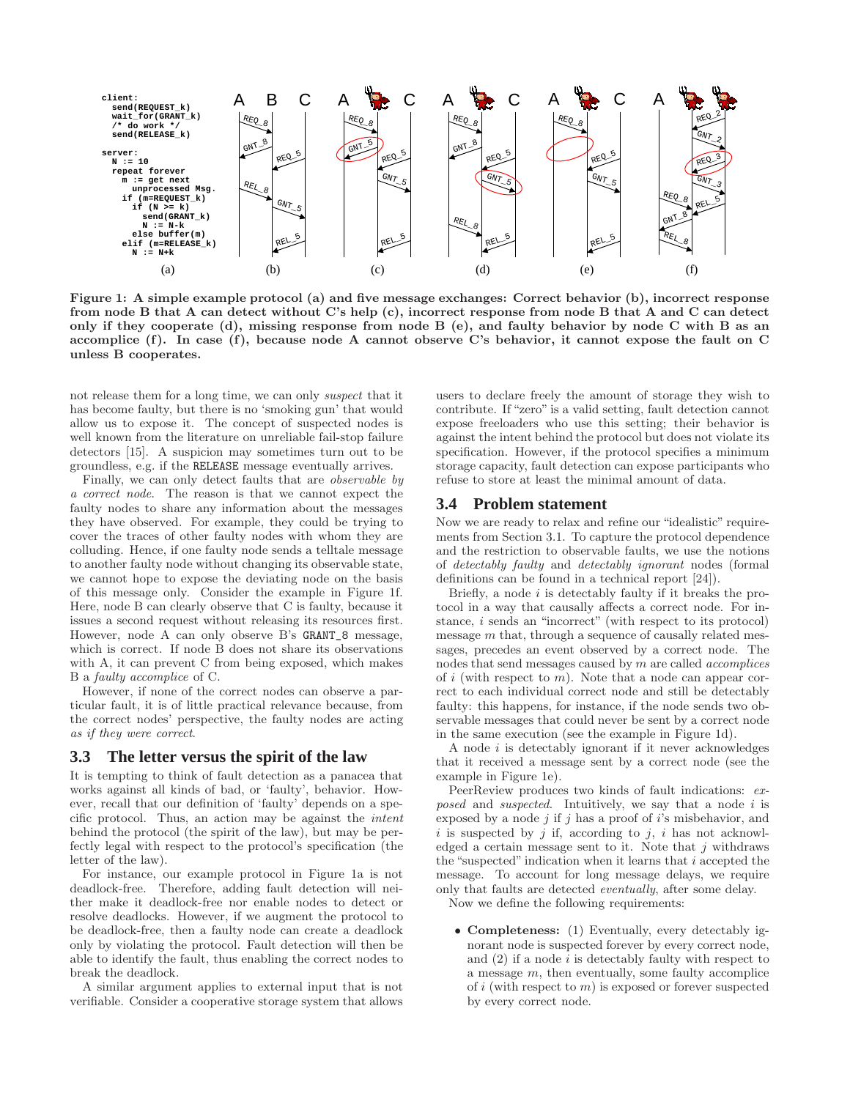

Figure 1: A simple example protocol (a) and five message exchanges: Correct behavior (b), incorrect response from node B that A can detect without C's help (c), incorrect response from node B that A and C can detect only if they cooperate (d), missing response from node B (e), and faulty behavior by node C with B as an accomplice (f). In case (f), because node A cannot observe C's behavior, it cannot expose the fault on C unless B cooperates.

not release them for a long time, we can only suspect that it has become faulty, but there is no 'smoking gun' that would allow us to expose it. The concept of suspected nodes is well known from the literature on unreliable fail-stop failure detectors [15]. A suspicion may sometimes turn out to be groundless, e.g. if the RELEASE message eventually arrives.

Finally, we can only detect faults that are observable by a correct node. The reason is that we cannot expect the faulty nodes to share any information about the messages they have observed. For example, they could be trying to cover the traces of other faulty nodes with whom they are colluding. Hence, if one faulty node sends a telltale message to another faulty node without changing its observable state, we cannot hope to expose the deviating node on the basis of this message only. Consider the example in Figure 1f. Here, node B can clearly observe that C is faulty, because it issues a second request without releasing its resources first. However, node A can only observe B's GRANT\_8 message, which is correct. If node B does not share its observations with A, it can prevent C from being exposed, which makes B a faulty accomplice of C.

However, if none of the correct nodes can observe a particular fault, it is of little practical relevance because, from the correct nodes' perspective, the faulty nodes are acting as if they were correct.

#### **3.3 The letter versus the spirit of the law**

It is tempting to think of fault detection as a panacea that works against all kinds of bad, or 'faulty', behavior. However, recall that our definition of 'faulty' depends on a specific protocol. Thus, an action may be against the intent behind the protocol (the spirit of the law), but may be perfectly legal with respect to the protocol's specification (the letter of the law).

For instance, our example protocol in Figure 1a is not deadlock-free. Therefore, adding fault detection will neither make it deadlock-free nor enable nodes to detect or resolve deadlocks. However, if we augment the protocol to be deadlock-free, then a faulty node can create a deadlock only by violating the protocol. Fault detection will then be able to identify the fault, thus enabling the correct nodes to break the deadlock.

A similar argument applies to external input that is not verifiable. Consider a cooperative storage system that allows users to declare freely the amount of storage they wish to contribute. If "zero" is a valid setting, fault detection cannot expose freeloaders who use this setting; their behavior is against the intent behind the protocol but does not violate its specification. However, if the protocol specifies a minimum storage capacity, fault detection can expose participants who refuse to store at least the minimal amount of data.

#### **3.4 Problem statement**

Now we are ready to relax and refine our "idealistic" requirements from Section 3.1. To capture the protocol dependence and the restriction to observable faults, we use the notions of detectably faulty and detectably ignorant nodes (formal definitions can be found in a technical report [24]).

Briefly, a node  $i$  is detectably faulty if it breaks the protocol in a way that causally affects a correct node. For instance, i sends an "incorrect" (with respect to its protocol) message  $m$  that, through a sequence of causally related messages, precedes an event observed by a correct node. The nodes that send messages caused by  $m$  are called *accomplices* of i (with respect to  $m$ ). Note that a node can appear correct to each individual correct node and still be detectably faulty: this happens, for instance, if the node sends two observable messages that could never be sent by a correct node in the same execution (see the example in Figure 1d).

A node  $i$  is detectably ignorant if it never acknowledges that it received a message sent by a correct node (see the example in Figure 1e).

PeerReview produces two kinds of fault indications: exposed and suspected. Intuitively, we say that a node i is exposed by a node  $j$  if  $j$  has a proof of  $i$ 's misbehavior, and i is suspected by j if, according to j, i has not acknowledged a certain message sent to it. Note that  $j$  withdraws the "suspected" indication when it learns that  $i$  accepted the message. To account for long message delays, we require only that faults are detected eventually, after some delay.

Now we define the following requirements:

• Completeness: (1) Eventually, every detectably ignorant node is suspected forever by every correct node, and  $(2)$  if a node i is detectably faulty with respect to a message  $m$ , then eventually, some faulty accomplice of i (with respect to  $m$ ) is exposed or forever suspected by every correct node.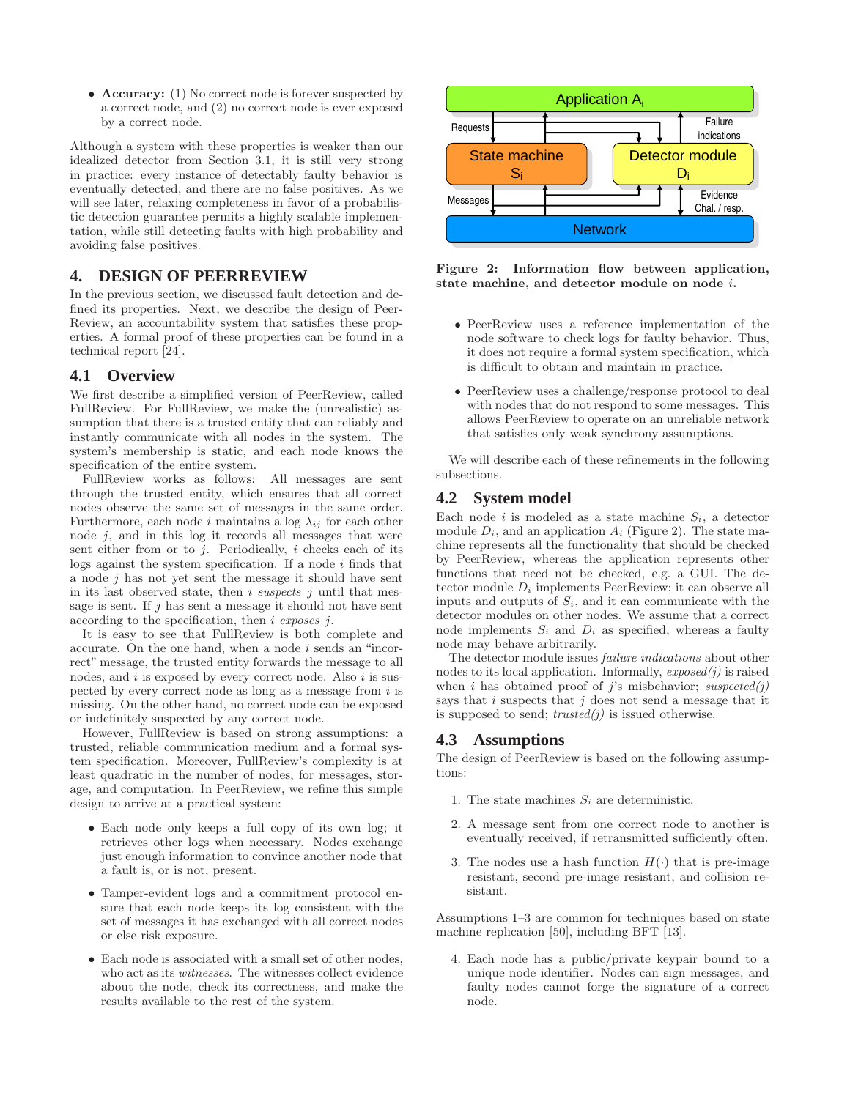• **Accuracy:** (1) No correct node is forever suspected by a correct node, and (2) no correct node is ever exposed by a correct node.

Although a system with these properties is weaker than our idealized detector from Section 3.1, it is still very strong in practice: every instance of detectably faulty behavior is eventually detected, and there are no false positives. As we will see later, relaxing completeness in favor of a probabilistic detection guarantee permits a highly scalable implementation, while still detecting faults with high probability and avoiding false positives.

# **4. DESIGN OF PEERREVIEW**

In the previous section, we discussed fault detection and defined its properties. Next, we describe the design of Peer-Review, an accountability system that satisfies these properties. A formal proof of these properties can be found in a technical report [24].

## **4.1 Overview**

We first describe a simplified version of PeerReview, called FullReview. For FullReview, we make the (unrealistic) assumption that there is a trusted entity that can reliably and instantly communicate with all nodes in the system. The system's membership is static, and each node knows the specification of the entire system.

FullReview works as follows: All messages are sent through the trusted entity, which ensures that all correct nodes observe the same set of messages in the same order. Furthermore, each node i maintains a log  $\lambda_{ij}$  for each other node  $j$ , and in this log it records all messages that were sent either from or to  $j$ . Periodically,  $i$  checks each of its logs against the system specification. If a node  $i$  finds that a node  $j$  has not yet sent the message it should have sent in its last observed state, then  $i$  suspects  $j$  until that message is sent. If  $j$  has sent a message it should not have sent according to the specification, then  $i$  exposes  $j$ .

It is easy to see that FullReview is both complete and accurate. On the one hand, when a node i sends an "incorrect" message, the trusted entity forwards the message to all nodes, and  $i$  is exposed by every correct node. Also  $i$  is suspected by every correct node as long as a message from  $i$  is missing. On the other hand, no correct node can be exposed or indefinitely suspected by any correct node.

However, FullReview is based on strong assumptions: a trusted, reliable communication medium and a formal system specification. Moreover, FullReview's complexity is at least quadratic in the number of nodes, for messages, storage, and computation. In PeerReview, we refine this simple design to arrive at a practical system:

- Each node only keeps a full copy of its own log; it retrieves other logs when necessary. Nodes exchange just enough information to convince another node that a fault is, or is not, present.
- Tamper-evident logs and a commitment protocol ensure that each node keeps its log consistent with the set of messages it has exchanged with all correct nodes or else risk exposure.
- Each node is associated with a small set of other nodes, who act as its *witnesses*. The witnesses collect evidence about the node, check its correctness, and make the results available to the rest of the system.



Figure 2: Information flow between application, state machine, and detector module on node i.

- PeerReview uses a reference implementation of the node software to check logs for faulty behavior. Thus, it does not require a formal system specification, which is difficult to obtain and maintain in practice.
- PeerReview uses a challenge/response protocol to deal with nodes that do not respond to some messages. This allows PeerReview to operate on an unreliable network that satisfies only weak synchrony assumptions.

We will describe each of these refinements in the following subsections.

## **4.2 System model**

Each node i is modeled as a state machine  $S_i$ , a detector module  $D_i$ , and an application  $A_i$  (Figure 2). The state machine represents all the functionality that should be checked by PeerReview, whereas the application represents other functions that need not be checked, e.g. a GUI. The detector module  $D_i$  implements PeerReview; it can observe all inputs and outputs of  $S_i$ , and it can communicate with the detector modules on other nodes. We assume that a correct node implements  $S_i$  and  $D_i$  as specified, whereas a faulty node may behave arbitrarily.

The detector module issues failure indications about other nodes to its local application. Informally,  $exposed(j)$  is raised when i has obtained proof of j's misbehavior; suspected $(j)$ says that  $i$  suspects that  $j$  does not send a message that it is supposed to send;  $trusted(j)$  is issued otherwise.

# **4.3 Assumptions**

The design of PeerReview is based on the following assumptions:

- 1. The state machines  $S_i$  are deterministic.
- 2. A message sent from one correct node to another is eventually received, if retransmitted sufficiently often.
- 3. The nodes use a hash function  $H(\cdot)$  that is pre-image resistant, second pre-image resistant, and collision resistant.

Assumptions 1–3 are common for techniques based on state machine replication [50], including BFT [13].

4. Each node has a public/private keypair bound to a unique node identifier. Nodes can sign messages, and faulty nodes cannot forge the signature of a correct node.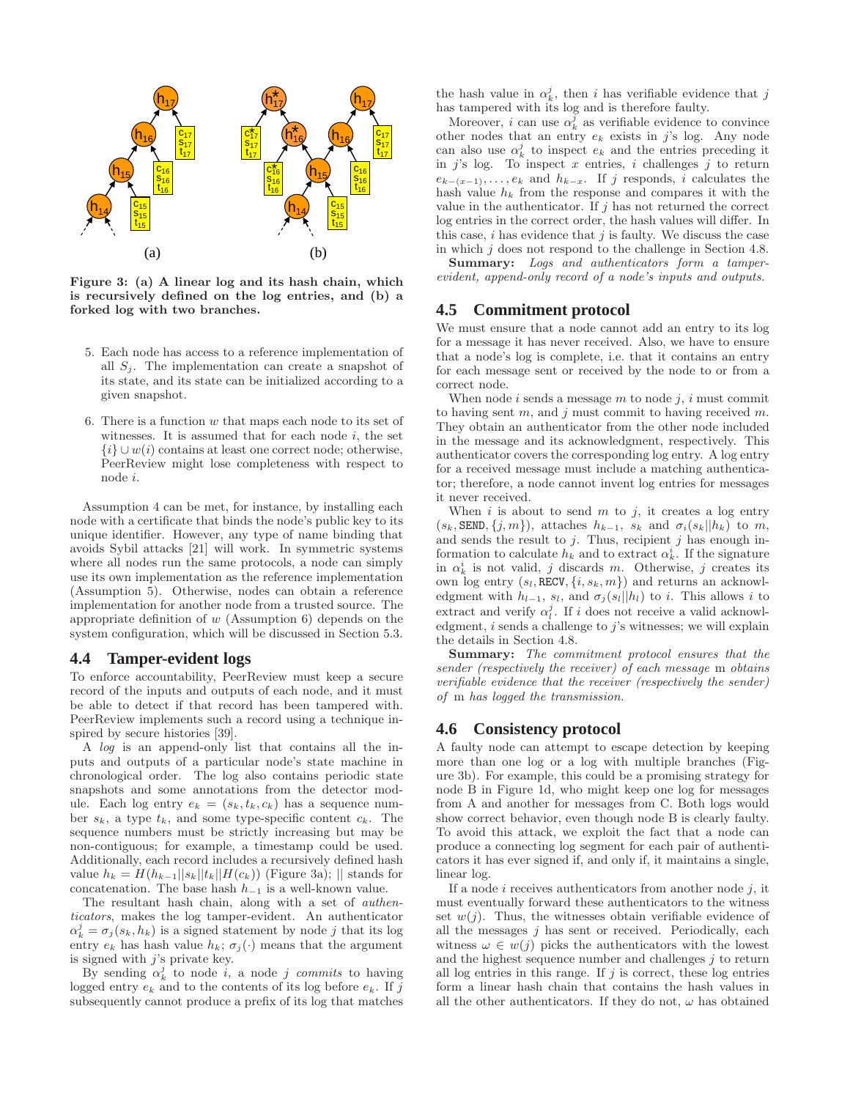

Figure 3: (a) A linear log and its hash chain, which is recursively defined on the log entries, and (b) a forked log with two branches.

- 5. Each node has access to a reference implementation of all  $S_i$ . The implementation can create a snapshot of its state, and its state can be initialized according to a given snapshot.
- 6. There is a function  $w$  that maps each node to its set of witnesses. It is assumed that for each node  $i$ , the set  $\{i\} \cup w(i)$  contains at least one correct node; otherwise, PeerReview might lose completeness with respect to node i.

Assumption 4 can be met, for instance, by installing each node with a certificate that binds the node's public key to its unique identifier. However, any type of name binding that avoids Sybil attacks [21] will work. In symmetric systems where all nodes run the same protocols, a node can simply use its own implementation as the reference implementation (Assumption 5). Otherwise, nodes can obtain a reference implementation for another node from a trusted source. The appropriate definition of  $w$  (Assumption 6) depends on the system configuration, which will be discussed in Section 5.3.

#### **4.4 Tamper-evident logs**

To enforce accountability, PeerReview must keep a secure record of the inputs and outputs of each node, and it must be able to detect if that record has been tampered with. PeerReview implements such a record using a technique inspired by secure histories [39].

A log is an append-only list that contains all the inputs and outputs of a particular node's state machine in chronological order. The log also contains periodic state snapshots and some annotations from the detector module. Each log entry  $e_k = (s_k, t_k, c_k)$  has a sequence number  $s_k$ , a type  $t_k$ , and some type-specific content  $c_k$ . The sequence numbers must be strictly increasing but may be non-contiguous; for example, a timestamp could be used. Additionally, each record includes a recursively defined hash value  $h_k = H(h_{k-1}||s_k||t_k||H(c_k))$  (Figure 3a); || stands for concatenation. The base hash  $h_{-1}$  is a well-known value.

The resultant hash chain, along with a set of authenticators, makes the log tamper-evident. An authenticator  $\alpha_k^j = \sigma_j(s_k, h_k)$  is a signed statement by node j that its log entry  $e_k$  has hash value  $h_k$ ;  $\sigma_j(\cdot)$  means that the argument is signed with  $j$ 's private key.

By sending  $\alpha_k^j$  to node i, a node j commits to having logged entry  $e_k$  and to the contents of its log before  $e_k$ . If j subsequently cannot produce a prefix of its log that matches

the hash value in  $\alpha_k^j$ , then i has verifiable evidence that j has tampered with its log and is therefore faulty.

Moreover, *i* can use  $\alpha_k^j$  as verifiable evidence to convince other nodes that an entry  $e_k$  exists in j's log. Any node can also use  $\alpha_k^j$  to inspect  $e_k$  and the entries preceding it in  $j$ 's log. To inspect  $x$  entries,  $i$  challenges  $j$  to return  $e_{k-(x-1)}, \ldots, e_k$  and  $h_{k-x}$ . If j responds, i calculates the hash value  $h_k$  from the response and compares it with the value in the authenticator. If  $j$  has not returned the correct log entries in the correct order, the hash values will differ. In this case,  $i$  has evidence that  $j$  is faulty. We discuss the case in which  $j$  does not respond to the challenge in Section 4.8.

Summary: Logs and authenticators form a tamperevident, append-only record of a node's inputs and outputs.

#### **4.5 Commitment protocol**

We must ensure that a node cannot add an entry to its log for a message it has never received. Also, we have to ensure that a node's log is complete, i.e. that it contains an entry for each message sent or received by the node to or from a correct node.

When node i sends a message  $m$  to node  $j, i$  must commit to having sent  $m$ , and  $j$  must commit to having received  $m$ . They obtain an authenticator from the other node included in the message and its acknowledgment, respectively. This authenticator covers the corresponding log entry. A log entry for a received message must include a matching authenticator; therefore, a node cannot invent log entries for messages it never received.

When  $i$  is about to send  $m$  to  $j$ , it creates a log entry  $(s_k, \text{SEMD}, \{j, m\})$ , attaches  $h_{k-1}$ ,  $s_k$  and  $\sigma_i(s_k||h_k)$  to  $m$ , and sends the result to  $j$ . Thus, recipient  $j$  has enough information to calculate  $h_k$  and to extract  $\alpha_k^i$ . If the signature in  $\alpha_k^i$  is not valid, j discards m. Otherwise, j creates its own log entry  $(s_l, \text{RECV}, \{i, s_k, m\})$  and returns an acknowledgment with  $h_{l-1}$ ,  $s_l$ , and  $\sigma_j(s_l||h_l)$  to i. This allows i to extract and verify  $\alpha_l^j$ . If i does not receive a valid acknowledgment,  $i$  sends a challenge to  $j$ 's witnesses; we will explain the details in Section 4.8.

Summary: The commitment protocol ensures that the sender (respectively the receiver) of each message m obtains verifiable evidence that the receiver (respectively the sender) of m has logged the transmission.

#### **4.6 Consistency protocol**

A faulty node can attempt to escape detection by keeping more than one log or a log with multiple branches (Figure 3b). For example, this could be a promising strategy for node B in Figure 1d, who might keep one log for messages from A and another for messages from C. Both logs would show correct behavior, even though node B is clearly faulty. To avoid this attack, we exploit the fact that a node can produce a connecting log segment for each pair of authenticators it has ever signed if, and only if, it maintains a single, linear log.

If a node i receives authenticators from another node  $j$ , it must eventually forward these authenticators to the witness set  $w(j)$ . Thus, the witnesses obtain verifiable evidence of all the messages  $j$  has sent or received. Periodically, each witness  $\omega \in w(j)$  picks the authenticators with the lowest and the highest sequence number and challenges  $j$  to return all log entries in this range. If  $j$  is correct, these log entries form a linear hash chain that contains the hash values in all the other authenticators. If they do not,  $\omega$  has obtained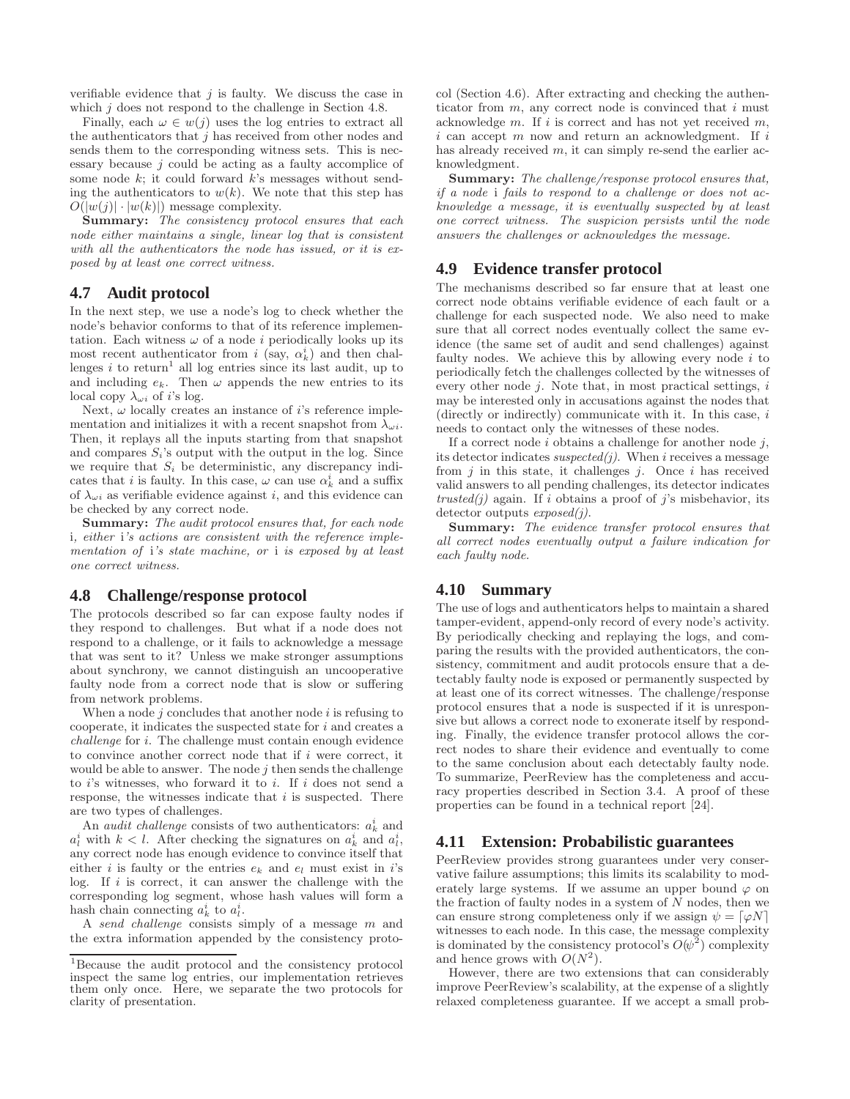verifiable evidence that  $j$  is faulty. We discuss the case in which  $j$  does not respond to the challenge in Section 4.8.

Finally, each  $\omega \in w(j)$  uses the log entries to extract all the authenticators that  $j$  has received from other nodes and sends them to the corresponding witness sets. This is necessary because  $j$  could be acting as a faulty accomplice of some node  $k$ ; it could forward  $k$ 's messages without sending the authenticators to  $w(k)$ . We note that this step has  $O(|w(j)| \cdot |w(k)|)$  message complexity.

Summary: The consistency protocol ensures that each node either maintains a single, linear log that is consistent with all the authenticators the node has issued, or it is exposed by at least one correct witness.

#### **4.7 Audit protocol**

In the next step, we use a node's log to check whether the node's behavior conforms to that of its reference implementation. Each witness  $\omega$  of a node *i* periodically looks up its most recent authenticator from  $i$  (say,  $\alpha_k^i$ ) and then challenges i to return<sup>1</sup> all log entries since its last audit, up to and including  $e_k$ . Then  $\omega$  appends the new entries to its local copy  $\lambda_{\omega i}$  of *i*'s log.

Next,  $\omega$  locally creates an instance of *i*'s reference implementation and initializes it with a recent snapshot from  $\lambda_{\omega i}$ . Then, it replays all the inputs starting from that snapshot and compares  $S_i$ 's output with the output in the log. Since we require that  $S_i$  be deterministic, any discrepancy indicates that *i* is faulty. In this case,  $\omega$  can use  $\alpha_k^i$  and a suffix of  $\lambda_{\omega i}$  as verifiable evidence against *i*, and this evidence can be checked by any correct node.

Summary: The audit protocol ensures that, for each node i, either i's actions are consistent with the reference implementation of i's state machine, or i is exposed by at least one correct witness.

#### **4.8 Challenge/response protocol**

The protocols described so far can expose faulty nodes if they respond to challenges. But what if a node does not respond to a challenge, or it fails to acknowledge a message that was sent to it? Unless we make stronger assumptions about synchrony, we cannot distinguish an uncooperative faulty node from a correct node that is slow or suffering from network problems.

When a node  $j$  concludes that another node  $i$  is refusing to cooperate, it indicates the suspected state for  $i$  and creates a challenge for i. The challenge must contain enough evidence to convince another correct node that if  $i$  were correct, it would be able to answer. The node  $j$  then sends the challenge to  $i$ 's witnesses, who forward it to  $i$ . If  $i$  does not send a response, the witnesses indicate that  $i$  is suspected. There are two types of challenges.

An *audit challenge* consists of two authenticators:  $a_k^i$  and  $a_l^i$  with  $k < l$ . After checking the signatures on  $a_k^i$  and  $a_l^i$ , any correct node has enough evidence to convince itself that either i is faulty or the entries  $e_k$  and  $e_l$  must exist in i's log. If  $i$  is correct, it can answer the challenge with the corresponding log segment, whose hash values will form a hash chain connecting  $a_k^i$  to  $a_l^i$ .

A send challenge consists simply of a message m and the extra information appended by the consistency protocol (Section 4.6). After extracting and checking the authenticator from  $m$ , any correct node is convinced that  $i$  must acknowledge  $m$ . If  $i$  is correct and has not yet received  $m$ ,  $i$  can accept  $m$  now and return an acknowledgment. If  $i$ has already received  $m$ , it can simply re-send the earlier acknowledgment.

Summary: The challenge/response protocol ensures that, if a node i fails to respond to a challenge or does not acknowledge a message, it is eventually suspected by at least one correct witness. The suspicion persists until the node answers the challenges or acknowledges the message.

#### **4.9 Evidence transfer protocol**

The mechanisms described so far ensure that at least one correct node obtains verifiable evidence of each fault or a challenge for each suspected node. We also need to make sure that all correct nodes eventually collect the same evidence (the same set of audit and send challenges) against faulty nodes. We achieve this by allowing every node  $i$  to periodically fetch the challenges collected by the witnesses of every other node  $j$ . Note that, in most practical settings,  $i$ may be interested only in accusations against the nodes that (directly or indirectly) communicate with it. In this case,  $i$ needs to contact only the witnesses of these nodes.

If a correct node  $i$  obtains a challenge for another node  $j$ , its detector indicates suspected $(j)$ . When i receives a message from  $j$  in this state, it challenges  $j$ . Once  $i$  has received valid answers to all pending challenges, its detector indicates trusted $(j)$  again. If i obtains a proof of j's misbehavior, its detector outputs  $exposed(i)$ .

Summary: The evidence transfer protocol ensures that all correct nodes eventually output a failure indication for each faulty node.

#### **4.10 Summary**

The use of logs and authenticators helps to maintain a shared tamper-evident, append-only record of every node's activity. By periodically checking and replaying the logs, and comparing the results with the provided authenticators, the consistency, commitment and audit protocols ensure that a detectably faulty node is exposed or permanently suspected by at least one of its correct witnesses. The challenge/response protocol ensures that a node is suspected if it is unresponsive but allows a correct node to exonerate itself by responding. Finally, the evidence transfer protocol allows the correct nodes to share their evidence and eventually to come to the same conclusion about each detectably faulty node. To summarize, PeerReview has the completeness and accuracy properties described in Section 3.4. A proof of these properties can be found in a technical report [24].

#### **4.11 Extension: Probabilistic guarantees**

PeerReview provides strong guarantees under very conservative failure assumptions; this limits its scalability to moderately large systems. If we assume an upper bound  $\varphi$  on the fraction of faulty nodes in a system of  $N$  nodes, then we can ensure strong completeness only if we assign  $\psi = [\varphi N]$ witnesses to each node. In this case, the message complexity is dominated by the consistency protocol's  $O(\psi^2)$  complexity and hence grows with  $O(N^2)$ .

However, there are two extensions that can considerably improve PeerReview's scalability, at the expense of a slightly relaxed completeness guarantee. If we accept a small prob-

<sup>1</sup>Because the audit protocol and the consistency protocol inspect the same log entries, our implementation retrieves them only once. Here, we separate the two protocols for clarity of presentation.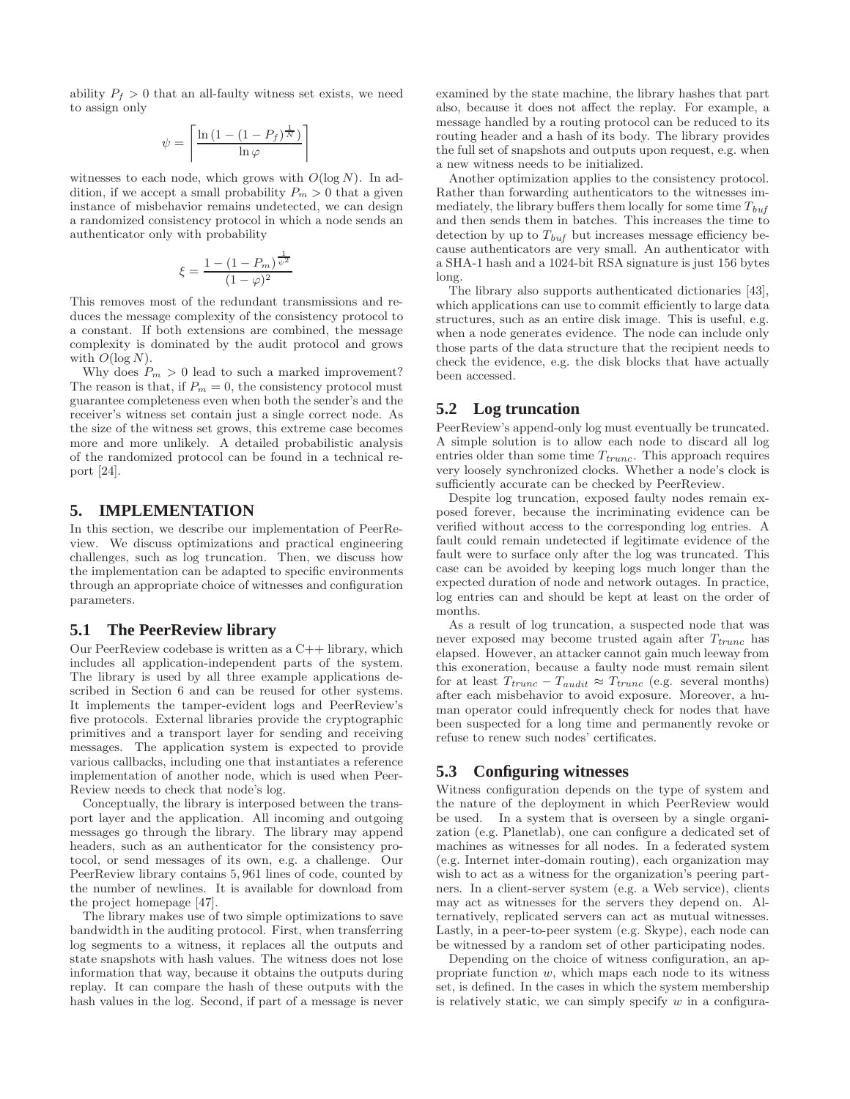ability  $P_f > 0$  that an all-faulty witness set exists, we need to assign only

$$
\psi = \left\lceil \frac{\ln\left(1 - \left(1 - P_f\right)^{\frac{1}{N}}\right)}{\ln\varphi} \right\rceil
$$

witnesses to each node, which grows with  $O(\log N)$ . In addition, if we accept a small probability  $P_m > 0$  that a given instance of misbehavior remains undetected, we can design a randomized consistency protocol in which a node sends an authenticator only with probability

$$
\xi = \frac{1 - (1 - P_m)^{\frac{1}{\psi^2}}}{(1 - \varphi)^2}
$$

This removes most of the redundant transmissions and reduces the message complexity of the consistency protocol to a constant. If both extensions are combined, the message complexity is dominated by the audit protocol and grows with  $O(\log N)$ .

Why does  $P_m > 0$  lead to such a marked improvement? The reason is that, if  $P_m = 0$ , the consistency protocol must guarantee completeness even when both the sender's and the receiver's witness set contain just a single correct node. As the size of the witness set grows, this extreme case becomes more and more unlikely. A detailed probabilistic analysis of the randomized protocol can be found in a technical report [24].

## **5. IMPLEMENTATION**

In this section, we describe our implementation of PeerReview. We discuss optimizations and practical engineering challenges, such as log truncation. Then, we discuss how the implementation can be adapted to specific environments through an appropriate choice of witnesses and configuration parameters.

#### **5.1 The PeerReview library**

Our PeerReview codebase is written as a  $C_{++}$  library, which includes all application-independent parts of the system. The library is used by all three example applications described in Section 6 and can be reused for other systems. It implements the tamper-evident logs and PeerReview's five protocols. External libraries provide the cryptographic primitives and a transport layer for sending and receiving messages. The application system is expected to provide various callbacks, including one that instantiates a reference implementation of another node, which is used when Peer-Review needs to check that node's log.

Conceptually, the library is interposed between the transport layer and the application. All incoming and outgoing messages go through the library. The library may append headers, such as an authenticator for the consistency protocol, or send messages of its own, e.g. a challenge. Our PeerReview library contains 5, 961 lines of code, counted by the number of newlines. It is available for download from the project homepage [47].

The library makes use of two simple optimizations to save bandwidth in the auditing protocol. First, when transferring log segments to a witness, it replaces all the outputs and state snapshots with hash values. The witness does not lose information that way, because it obtains the outputs during replay. It can compare the hash of these outputs with the hash values in the log. Second, if part of a message is never examined by the state machine, the library hashes that part also, because it does not affect the replay. For example, a message handled by a routing protocol can be reduced to its routing header and a hash of its body. The library provides the full set of snapshots and outputs upon request, e.g. when a new witness needs to be initialized.

Another optimization applies to the consistency protocol. Rather than forwarding authenticators to the witnesses immediately, the library buffers them locally for some time  $T_{buf}$ and then sends them in batches. This increases the time to detection by up to  $T_{buf}$  but increases message efficiency because authenticators are very small. An authenticator with a SHA-1 hash and a 1024-bit RSA signature is just 156 bytes long.

The library also supports authenticated dictionaries [43], which applications can use to commit efficiently to large data structures, such as an entire disk image. This is useful, e.g. when a node generates evidence. The node can include only those parts of the data structure that the recipient needs to check the evidence, e.g. the disk blocks that have actually been accessed.

#### **5.2 Log truncation**

PeerReview's append-only log must eventually be truncated. A simple solution is to allow each node to discard all log entries older than some time  $T_{trunc}$ . This approach requires very loosely synchronized clocks. Whether a node's clock is sufficiently accurate can be checked by PeerReview.

Despite log truncation, exposed faulty nodes remain exposed forever, because the incriminating evidence can be verified without access to the corresponding log entries. A fault could remain undetected if legitimate evidence of the fault were to surface only after the log was truncated. This case can be avoided by keeping logs much longer than the expected duration of node and network outages. In practice, log entries can and should be kept at least on the order of months.

As a result of log truncation, a suspected node that was never exposed may become trusted again after  $T_{trunc}$  has elapsed. However, an attacker cannot gain much leeway from this exoneration, because a faulty node must remain silent for at least  $T_{trunc} - T_{audit} \approx T_{trunc}$  (e.g. several months) after each misbehavior to avoid exposure. Moreover, a human operator could infrequently check for nodes that have been suspected for a long time and permanently revoke or refuse to renew such nodes' certificates.

#### **5.3 Configuring witnesses**

Witness configuration depends on the type of system and the nature of the deployment in which PeerReview would be used. In a system that is overseen by a single organization (e.g. Planetlab), one can configure a dedicated set of machines as witnesses for all nodes. In a federated system (e.g. Internet inter-domain routing), each organization may wish to act as a witness for the organization's peering partners. In a client-server system (e.g. a Web service), clients may act as witnesses for the servers they depend on. Alternatively, replicated servers can act as mutual witnesses. Lastly, in a peer-to-peer system (e.g. Skype), each node can be witnessed by a random set of other participating nodes.

Depending on the choice of witness configuration, an appropriate function  $w$ , which maps each node to its witness set, is defined. In the cases in which the system membership is relatively static, we can simply specify  $w$  in a configura-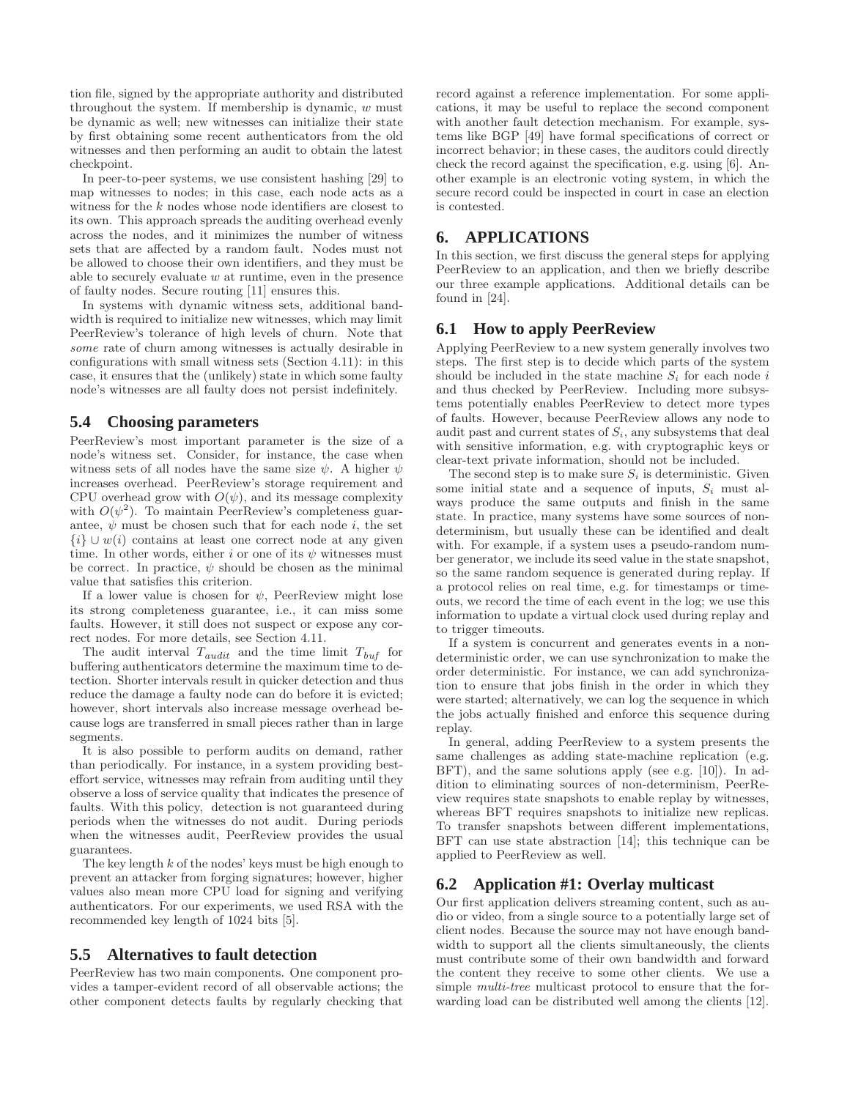tion file, signed by the appropriate authority and distributed throughout the system. If membership is dynamic,  $w$  must be dynamic as well; new witnesses can initialize their state by first obtaining some recent authenticators from the old witnesses and then performing an audit to obtain the latest checkpoint.

In peer-to-peer systems, we use consistent hashing [29] to map witnesses to nodes; in this case, each node acts as a witness for the  $k$  nodes whose node identifiers are closest to its own. This approach spreads the auditing overhead evenly across the nodes, and it minimizes the number of witness sets that are affected by a random fault. Nodes must not be allowed to choose their own identifiers, and they must be able to securely evaluate  $w$  at runtime, even in the presence of faulty nodes. Secure routing [11] ensures this.

In systems with dynamic witness sets, additional bandwidth is required to initialize new witnesses, which may limit PeerReview's tolerance of high levels of churn. Note that some rate of churn among witnesses is actually desirable in configurations with small witness sets (Section 4.11): in this case, it ensures that the (unlikely) state in which some faulty node's witnesses are all faulty does not persist indefinitely.

## **5.4 Choosing parameters**

PeerReview's most important parameter is the size of a node's witness set. Consider, for instance, the case when witness sets of all nodes have the same size  $\psi$ . A higher  $\psi$ increases overhead. PeerReview's storage requirement and CPU overhead grow with  $O(\psi)$ , and its message complexity with  $O(\psi^2)$ . To maintain PeerReview's completeness guarantee,  $\psi$  must be chosen such that for each node i, the set  $\{i\} \cup w(i)$  contains at least one correct node at any given time. In other words, either i or one of its  $\psi$  witnesses must be correct. In practice,  $\psi$  should be chosen as the minimal value that satisfies this criterion.

If a lower value is chosen for  $\psi$ , PeerReview might lose its strong completeness guarantee, i.e., it can miss some faults. However, it still does not suspect or expose any correct nodes. For more details, see Section 4.11.

The audit interval  $T_{audit}$  and the time limit  $T_{buf}$  for buffering authenticators determine the maximum time to detection. Shorter intervals result in quicker detection and thus reduce the damage a faulty node can do before it is evicted; however, short intervals also increase message overhead because logs are transferred in small pieces rather than in large segments.

It is also possible to perform audits on demand, rather than periodically. For instance, in a system providing besteffort service, witnesses may refrain from auditing until they observe a loss of service quality that indicates the presence of faults. With this policy, detection is not guaranteed during periods when the witnesses do not audit. During periods when the witnesses audit, PeerReview provides the usual guarantees.

The key length  $k$  of the nodes' keys must be high enough to prevent an attacker from forging signatures; however, higher values also mean more CPU load for signing and verifying authenticators. For our experiments, we used RSA with the recommended key length of 1024 bits [5].

#### **5.5 Alternatives to fault detection**

PeerReview has two main components. One component provides a tamper-evident record of all observable actions; the other component detects faults by regularly checking that record against a reference implementation. For some applications, it may be useful to replace the second component with another fault detection mechanism. For example, systems like BGP [49] have formal specifications of correct or incorrect behavior; in these cases, the auditors could directly check the record against the specification, e.g. using [6]. Another example is an electronic voting system, in which the secure record could be inspected in court in case an election is contested.

## **6. APPLICATIONS**

In this section, we first discuss the general steps for applying PeerReview to an application, and then we briefly describe our three example applications. Additional details can be found in [24].

#### **6.1 How to apply PeerReview**

Applying PeerReview to a new system generally involves two steps. The first step is to decide which parts of the system should be included in the state machine  $S_i$  for each node i and thus checked by PeerReview. Including more subsystems potentially enables PeerReview to detect more types of faults. However, because PeerReview allows any node to audit past and current states of  $S_i$ , any subsystems that deal with sensitive information, e.g. with cryptographic keys or clear-text private information, should not be included.

The second step is to make sure  $S_i$  is deterministic. Given some initial state and a sequence of inputs,  $S_i$  must always produce the same outputs and finish in the same state. In practice, many systems have some sources of nondeterminism, but usually these can be identified and dealt with. For example, if a system uses a pseudo-random number generator, we include its seed value in the state snapshot, so the same random sequence is generated during replay. If a protocol relies on real time, e.g. for timestamps or timeouts, we record the time of each event in the log; we use this information to update a virtual clock used during replay and to trigger timeouts.

If a system is concurrent and generates events in a nondeterministic order, we can use synchronization to make the order deterministic. For instance, we can add synchronization to ensure that jobs finish in the order in which they were started; alternatively, we can log the sequence in which the jobs actually finished and enforce this sequence during replay.

In general, adding PeerReview to a system presents the same challenges as adding state-machine replication (e.g. BFT), and the same solutions apply (see e.g. [10]). In addition to eliminating sources of non-determinism, PeerReview requires state snapshots to enable replay by witnesses, whereas BFT requires snapshots to initialize new replicas. To transfer snapshots between different implementations, BFT can use state abstraction [14]; this technique can be applied to PeerReview as well.

# **6.2 Application #1: Overlay multicast**

Our first application delivers streaming content, such as audio or video, from a single source to a potentially large set of client nodes. Because the source may not have enough bandwidth to support all the clients simultaneously, the clients must contribute some of their own bandwidth and forward the content they receive to some other clients. We use a simple *multi-tree* multicast protocol to ensure that the forwarding load can be distributed well among the clients [12].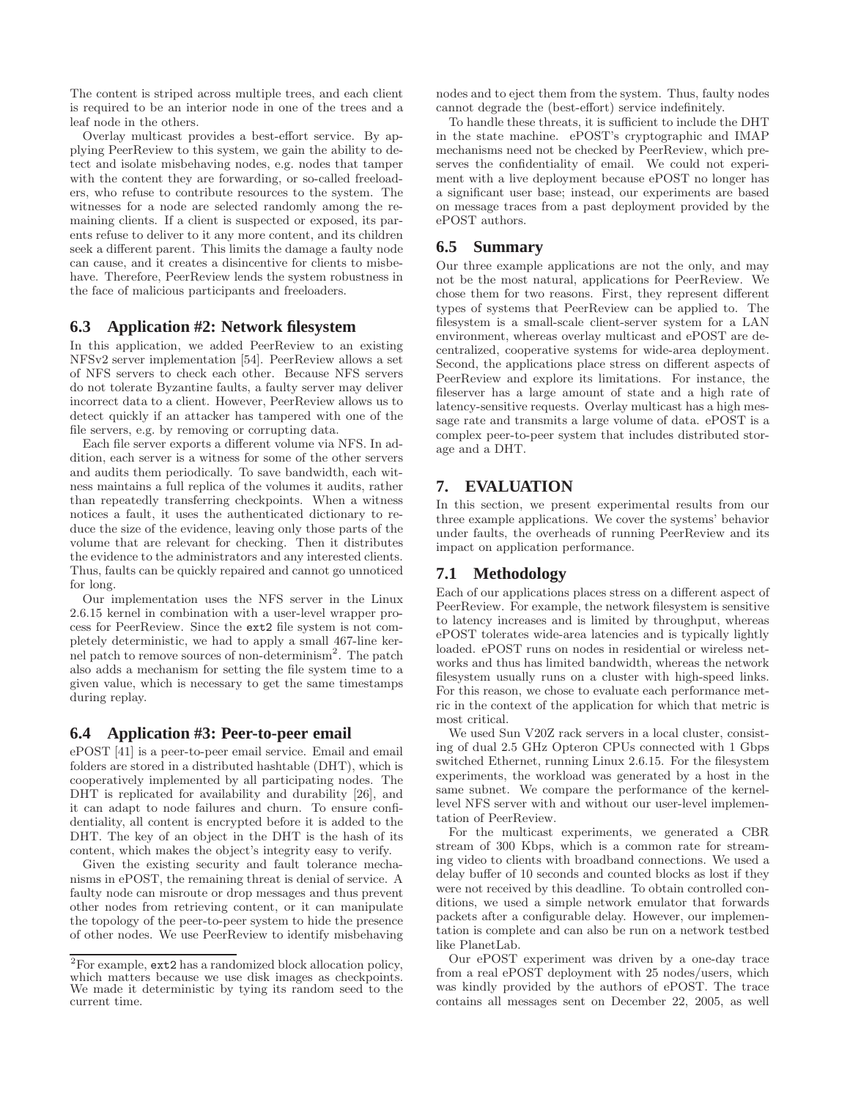The content is striped across multiple trees, and each client is required to be an interior node in one of the trees and a leaf node in the others.

Overlay multicast provides a best-effort service. By applying PeerReview to this system, we gain the ability to detect and isolate misbehaving nodes, e.g. nodes that tamper with the content they are forwarding, or so-called freeloaders, who refuse to contribute resources to the system. The witnesses for a node are selected randomly among the remaining clients. If a client is suspected or exposed, its parents refuse to deliver to it any more content, and its children seek a different parent. This limits the damage a faulty node can cause, and it creates a disincentive for clients to misbehave. Therefore, PeerReview lends the system robustness in the face of malicious participants and freeloaders.

## **6.3 Application #2: Network filesystem**

In this application, we added PeerReview to an existing NFSv2 server implementation [54]. PeerReview allows a set of NFS servers to check each other. Because NFS servers do not tolerate Byzantine faults, a faulty server may deliver incorrect data to a client. However, PeerReview allows us to detect quickly if an attacker has tampered with one of the file servers, e.g. by removing or corrupting data.

Each file server exports a different volume via NFS. In addition, each server is a witness for some of the other servers and audits them periodically. To save bandwidth, each witness maintains a full replica of the volumes it audits, rather than repeatedly transferring checkpoints. When a witness notices a fault, it uses the authenticated dictionary to reduce the size of the evidence, leaving only those parts of the volume that are relevant for checking. Then it distributes the evidence to the administrators and any interested clients. Thus, faults can be quickly repaired and cannot go unnoticed for long.

Our implementation uses the NFS server in the Linux 2.6.15 kernel in combination with a user-level wrapper process for PeerReview. Since the ext2 file system is not completely deterministic, we had to apply a small 467-line kernel patch to remove sources of non-determinism<sup>2</sup>. The patch also adds a mechanism for setting the file system time to a given value, which is necessary to get the same timestamps during replay.

## **6.4 Application #3: Peer-to-peer email**

ePOST [41] is a peer-to-peer email service. Email and email folders are stored in a distributed hashtable (DHT), which is cooperatively implemented by all participating nodes. The DHT is replicated for availability and durability [26], and it can adapt to node failures and churn. To ensure confidentiality, all content is encrypted before it is added to the DHT. The key of an object in the DHT is the hash of its content, which makes the object's integrity easy to verify.

Given the existing security and fault tolerance mechanisms in ePOST, the remaining threat is denial of service. A faulty node can misroute or drop messages and thus prevent other nodes from retrieving content, or it can manipulate the topology of the peer-to-peer system to hide the presence of other nodes. We use PeerReview to identify misbehaving nodes and to eject them from the system. Thus, faulty nodes cannot degrade the (best-effort) service indefinitely.

To handle these threats, it is sufficient to include the DHT in the state machine. ePOST's cryptographic and IMAP mechanisms need not be checked by PeerReview, which preserves the confidentiality of email. We could not experiment with a live deployment because ePOST no longer has a significant user base; instead, our experiments are based on message traces from a past deployment provided by the ePOST authors.

## **6.5 Summary**

Our three example applications are not the only, and may not be the most natural, applications for PeerReview. We chose them for two reasons. First, they represent different types of systems that PeerReview can be applied to. The filesystem is a small-scale client-server system for a LAN environment, whereas overlay multicast and ePOST are decentralized, cooperative systems for wide-area deployment. Second, the applications place stress on different aspects of PeerReview and explore its limitations. For instance, the fileserver has a large amount of state and a high rate of latency-sensitive requests. Overlay multicast has a high message rate and transmits a large volume of data. ePOST is a complex peer-to-peer system that includes distributed storage and a DHT.

## **7. EVALUATION**

In this section, we present experimental results from our three example applications. We cover the systems' behavior under faults, the overheads of running PeerReview and its impact on application performance.

# **7.1 Methodology**

Each of our applications places stress on a different aspect of PeerReview. For example, the network filesystem is sensitive to latency increases and is limited by throughput, whereas ePOST tolerates wide-area latencies and is typically lightly loaded. ePOST runs on nodes in residential or wireless networks and thus has limited bandwidth, whereas the network filesystem usually runs on a cluster with high-speed links. For this reason, we chose to evaluate each performance metric in the context of the application for which that metric is most critical.

We used Sun V20Z rack servers in a local cluster, consisting of dual 2.5 GHz Opteron CPUs connected with 1 Gbps switched Ethernet, running Linux 2.6.15. For the filesystem experiments, the workload was generated by a host in the same subnet. We compare the performance of the kernellevel NFS server with and without our user-level implementation of PeerReview.

For the multicast experiments, we generated a CBR stream of 300 Kbps, which is a common rate for streaming video to clients with broadband connections. We used a delay buffer of 10 seconds and counted blocks as lost if they were not received by this deadline. To obtain controlled conditions, we used a simple network emulator that forwards packets after a configurable delay. However, our implementation is complete and can also be run on a network testbed like PlanetLab.

Our ePOST experiment was driven by a one-day trace from a real ePOST deployment with 25 nodes/users, which was kindly provided by the authors of ePOST. The trace contains all messages sent on December 22, 2005, as well

<sup>2</sup>For example, ext2 has a randomized block allocation policy, which matters because we use disk images as checkpoints. We made it deterministic by tying its random seed to the current time.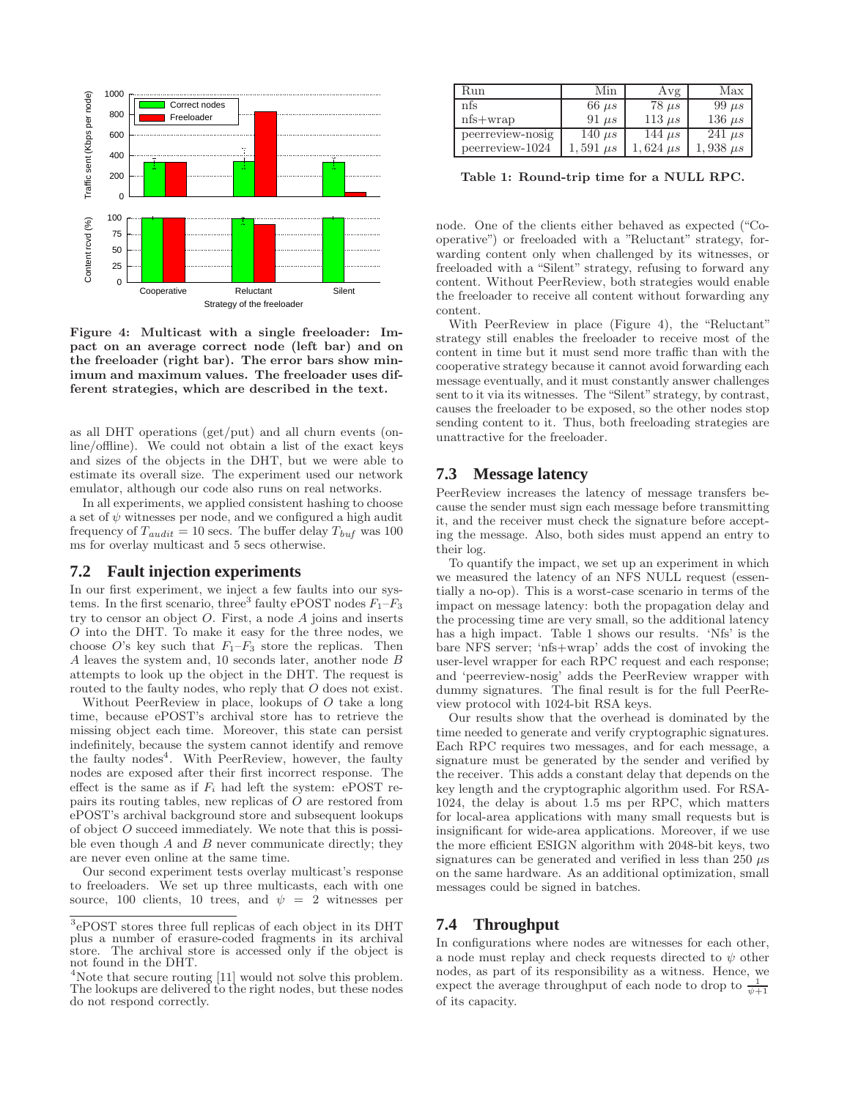

Figure 4: Multicast with a single freeloader: Impact on an average correct node (left bar) and on the freeloader (right bar). The error bars show minimum and maximum values. The freeloader uses different strategies, which are described in the text.

as all DHT operations (get/put) and all churn events (online/offline). We could not obtain a list of the exact keys and sizes of the objects in the DHT, but we were able to estimate its overall size. The experiment used our network emulator, although our code also runs on real networks.

In all experiments, we applied consistent hashing to choose a set of  $\psi$  witnesses per node, and we configured a high audit frequency of  $T_{audit} = 10$  secs. The buffer delay  $T_{buf}$  was 100 ms for overlay multicast and 5 secs otherwise.

## **7.2 Fault injection experiments**

In our first experiment, we inject a few faults into our systems. In the first scenario, three<sup>3</sup> faulty ePOST nodes  $F_1-F_3$ try to censor an object  $O$ . First, a node  $A$  joins and inserts O into the DHT. To make it easy for the three nodes, we choose O's key such that  $F_1-F_3$  store the replicas. Then A leaves the system and, 10 seconds later, another node B attempts to look up the object in the DHT. The request is routed to the faulty nodes, who reply that O does not exist.

Without PeerReview in place, lookups of O take a long time, because ePOST's archival store has to retrieve the missing object each time. Moreover, this state can persist indefinitely, because the system cannot identify and remove the faulty nodes<sup>4</sup>. With PeerReview, however, the faulty nodes are exposed after their first incorrect response. The effect is the same as if  $F_i$  had left the system: ePOST repairs its routing tables, new replicas of O are restored from ePOST's archival background store and subsequent lookups of object O succeed immediately. We note that this is possible even though  $A$  and  $B$  never communicate directly; they are never even online at the same time.

Our second experiment tests overlay multicast's response to freeloaders. We set up three multicasts, each with one source, 100 clients, 10 trees, and  $\psi = 2$  witnesses per

| Run              | Min             | Avg            | Max            |
|------------------|-----------------|----------------|----------------|
| nfs              | $66 \; \mu s$   | $78 \ \mu s$   | $99 \; \mu s$  |
| $\n  nfs+wrap\n$ | $91 \; \mu s$   | $113 \ \mu s$  | $136 \; \mu s$ |
| peerreview-nosig | 140 $\mu s$     | 144 $\mu s$    | 241 $\mu s$    |
| peerreview-1024  | $.591 \; \mu s$ | $624 \; \mu s$ | $938 \; \mu s$ |

Table 1: Round-trip time for a NULL RPC.

node. One of the clients either behaved as expected ("Cooperative") or freeloaded with a "Reluctant" strategy, forwarding content only when challenged by its witnesses, or freeloaded with a "Silent" strategy, refusing to forward any content. Without PeerReview, both strategies would enable the freeloader to receive all content without forwarding any content.

With PeerReview in place (Figure 4), the "Reluctant" strategy still enables the freeloader to receive most of the content in time but it must send more traffic than with the cooperative strategy because it cannot avoid forwarding each message eventually, and it must constantly answer challenges sent to it via its witnesses. The "Silent" strategy, by contrast, causes the freeloader to be exposed, so the other nodes stop sending content to it. Thus, both freeloading strategies are unattractive for the freeloader.

#### **7.3 Message latency**

PeerReview increases the latency of message transfers because the sender must sign each message before transmitting it, and the receiver must check the signature before accepting the message. Also, both sides must append an entry to their log.

To quantify the impact, we set up an experiment in which we measured the latency of an NFS NULL request (essentially a no-op). This is a worst-case scenario in terms of the impact on message latency: both the propagation delay and the processing time are very small, so the additional latency has a high impact. Table 1 shows our results. 'Nfs' is the bare NFS server; 'nfs+wrap' adds the cost of invoking the user-level wrapper for each RPC request and each response; and 'peerreview-nosig' adds the PeerReview wrapper with dummy signatures. The final result is for the full PeerReview protocol with 1024-bit RSA keys.

Our results show that the overhead is dominated by the time needed to generate and verify cryptographic signatures. Each RPC requires two messages, and for each message, a signature must be generated by the sender and verified by the receiver. This adds a constant delay that depends on the key length and the cryptographic algorithm used. For RSA-1024, the delay is about 1.5 ms per RPC, which matters for local-area applications with many small requests but is insignificant for wide-area applications. Moreover, if we use the more efficient ESIGN algorithm with 2048-bit keys, two signatures can be generated and verified in less than 250  $\mu$ s on the same hardware. As an additional optimization, small messages could be signed in batches.

# **7.4 Throughput**

In configurations where nodes are witnesses for each other, a node must replay and check requests directed to  $\psi$  other nodes, as part of its responsibility as a witness. Hence, we expect the average throughput of each node to drop to  $\frac{1}{\psi+1}$ of its capacity.

<sup>3</sup> ePOST stores three full replicas of each object in its DHT plus a number of erasure-coded fragments in its archival store. The archival store is accessed only if the object is not found in the DHT.

<sup>&</sup>lt;sup>4</sup>Note that secure routing [11] would not solve this problem. The lookups are delivered to the right nodes, but these nodes do not respond correctly.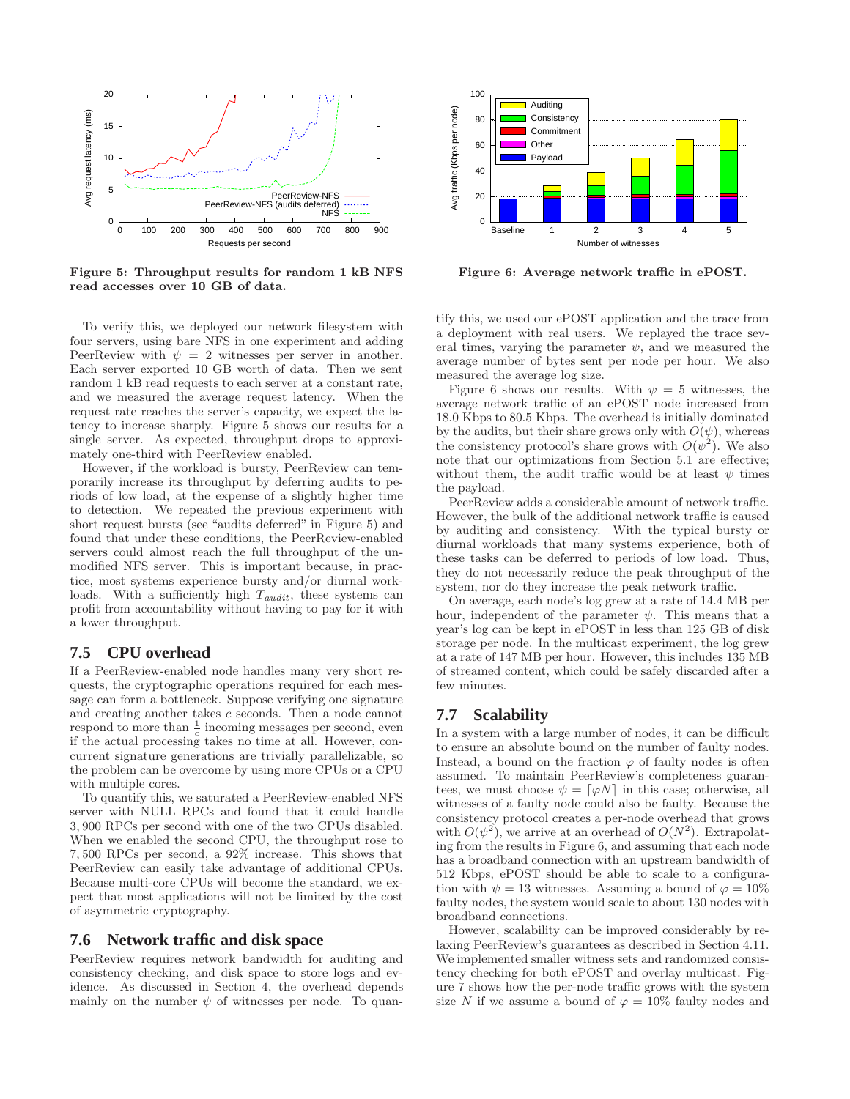

Figure 5: Throughput results for random 1 kB NFS read accesses over 10 GB of data.

To verify this, we deployed our network filesystem with four servers, using bare NFS in one experiment and adding PeerReview with  $\psi = 2$  witnesses per server in another. Each server exported 10 GB worth of data. Then we sent random 1 kB read requests to each server at a constant rate, and we measured the average request latency. When the request rate reaches the server's capacity, we expect the latency to increase sharply. Figure 5 shows our results for a single server. As expected, throughput drops to approximately one-third with PeerReview enabled.

However, if the workload is bursty, PeerReview can temporarily increase its throughput by deferring audits to periods of low load, at the expense of a slightly higher time to detection. We repeated the previous experiment with short request bursts (see "audits deferred" in Figure 5) and found that under these conditions, the PeerReview-enabled servers could almost reach the full throughput of the unmodified NFS server. This is important because, in practice, most systems experience bursty and/or diurnal workloads. With a sufficiently high  $T_{audit}$ , these systems can profit from accountability without having to pay for it with a lower throughput.

## **7.5 CPU overhead**

If a PeerReview-enabled node handles many very short requests, the cryptographic operations required for each message can form a bottleneck. Suppose verifying one signature and creating another takes c seconds. Then a node cannot respond to more than  $\frac{1}{c}$  incoming messages per second, even if the actual processing takes no time at all. However, concurrent signature generations are trivially parallelizable, so the problem can be overcome by using more CPUs or a CPU with multiple cores.

To quantify this, we saturated a PeerReview-enabled NFS server with NULL RPCs and found that it could handle 3, 900 RPCs per second with one of the two CPUs disabled. When we enabled the second CPU, the throughput rose to 7, 500 RPCs per second, a 92% increase. This shows that PeerReview can easily take advantage of additional CPUs. Because multi-core CPUs will become the standard, we expect that most applications will not be limited by the cost of asymmetric cryptography.

## **7.6 Network traffic and disk space**

PeerReview requires network bandwidth for auditing and consistency checking, and disk space to store logs and evidence. As discussed in Section 4, the overhead depends mainly on the number  $\psi$  of witnesses per node. To quan-



Figure 6: Average network traffic in ePOST.

tify this, we used our ePOST application and the trace from a deployment with real users. We replayed the trace several times, varying the parameter  $\psi$ , and we measured the average number of bytes sent per node per hour. We also measured the average log size.

Figure 6 shows our results. With  $\psi = 5$  witnesses, the average network traffic of an ePOST node increased from 18.0 Kbps to 80.5 Kbps. The overhead is initially dominated by the audits, but their share grows only with  $O(\psi)$ , whereas the consistency protocol's share grows with  $O(\psi^2)$ . We also note that our optimizations from Section 5.1 are effective; without them, the audit traffic would be at least  $\psi$  times the payload.

PeerReview adds a considerable amount of network traffic. However, the bulk of the additional network traffic is caused by auditing and consistency. With the typical bursty or diurnal workloads that many systems experience, both of these tasks can be deferred to periods of low load. Thus, they do not necessarily reduce the peak throughput of the system, nor do they increase the peak network traffic.

On average, each node's log grew at a rate of 14.4 MB per hour, independent of the parameter  $\psi$ . This means that a year's log can be kept in ePOST in less than 125 GB of disk storage per node. In the multicast experiment, the log grew at a rate of 147 MB per hour. However, this includes 135 MB of streamed content, which could be safely discarded after a few minutes.

## **7.7 Scalability**

In a system with a large number of nodes, it can be difficult to ensure an absolute bound on the number of faulty nodes. Instead, a bound on the fraction  $\varphi$  of faulty nodes is often assumed. To maintain PeerReview's completeness guarantees, we must choose  $\psi = [\varphi N]$  in this case; otherwise, all witnesses of a faulty node could also be faulty. Because the consistency protocol creates a per-node overhead that grows with  $O(\psi^2)$ , we arrive at an overhead of  $O(N^2)$ . Extrapolating from the results in Figure 6, and assuming that each node has a broadband connection with an upstream bandwidth of 512 Kbps, ePOST should be able to scale to a configuration with  $\psi = 13$  witnesses. Assuming a bound of  $\varphi = 10\%$ faulty nodes, the system would scale to about 130 nodes with broadband connections.

However, scalability can be improved considerably by relaxing PeerReview's guarantees as described in Section 4.11. We implemented smaller witness sets and randomized consistency checking for both ePOST and overlay multicast. Figure 7 shows how the per-node traffic grows with the system size N if we assume a bound of  $\varphi = 10\%$  faulty nodes and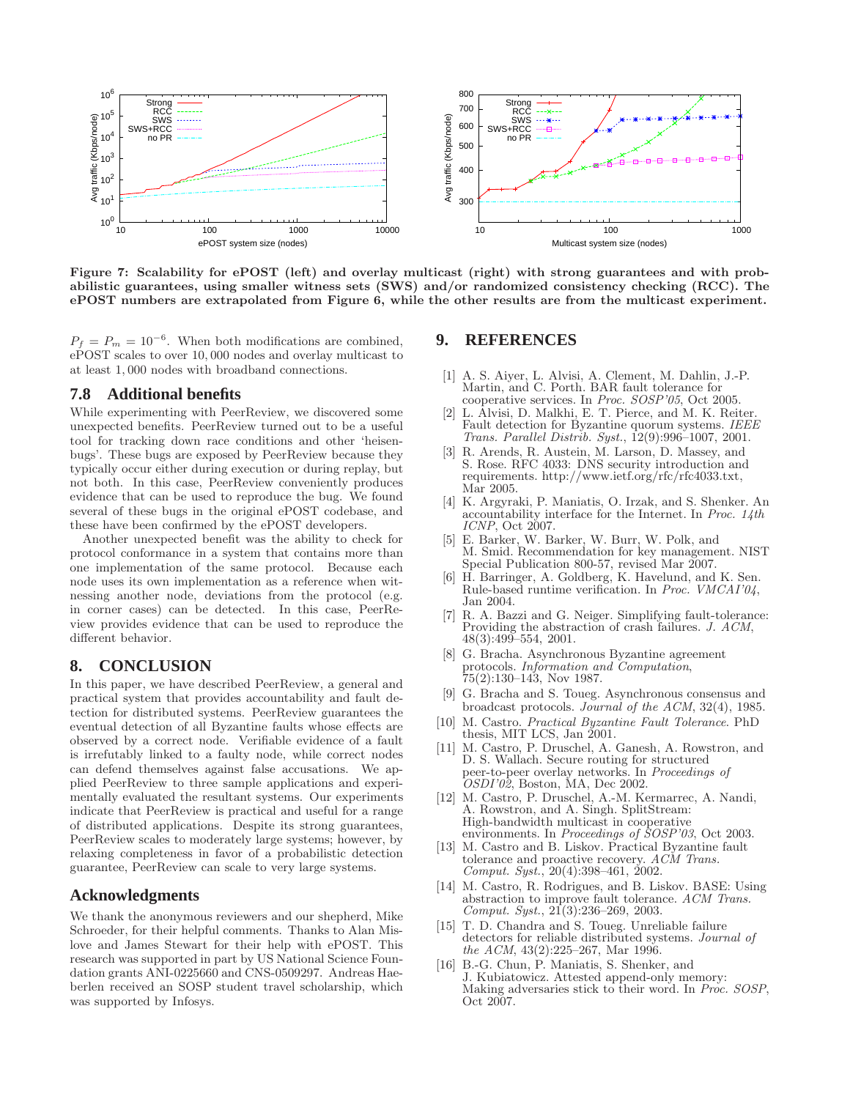

Figure 7: Scalability for ePOST (left) and overlay multicast (right) with strong guarantees and with probabilistic guarantees, using smaller witness sets (SWS) and/or randomized consistency checking (RCC). The ePOST numbers are extrapolated from Figure 6, while the other results are from the multicast experiment.

 $P_f = P_m = 10^{-6}$ . When both modifications are combined, ePOST scales to over 10, 000 nodes and overlay multicast to at least 1, 000 nodes with broadband connections.

## **7.8 Additional benefits**

While experimenting with PeerReview, we discovered some unexpected benefits. PeerReview turned out to be a useful tool for tracking down race conditions and other 'heisenbugs'. These bugs are exposed by PeerReview because they typically occur either during execution or during replay, but not both. In this case, PeerReview conveniently produces evidence that can be used to reproduce the bug. We found several of these bugs in the original ePOST codebase, and these have been confirmed by the ePOST developers.

Another unexpected benefit was the ability to check for protocol conformance in a system that contains more than one implementation of the same protocol. Because each node uses its own implementation as a reference when witnessing another node, deviations from the protocol (e.g. in corner cases) can be detected. In this case, PeerReview provides evidence that can be used to reproduce the different behavior.

## **8. CONCLUSION**

In this paper, we have described PeerReview, a general and practical system that provides accountability and fault detection for distributed systems. PeerReview guarantees the eventual detection of all Byzantine faults whose effects are observed by a correct node. Verifiable evidence of a fault is irrefutably linked to a faulty node, while correct nodes can defend themselves against false accusations. We applied PeerReview to three sample applications and experimentally evaluated the resultant systems. Our experiments indicate that PeerReview is practical and useful for a range of distributed applications. Despite its strong guarantees, PeerReview scales to moderately large systems; however, by relaxing completeness in favor of a probabilistic detection guarantee, PeerReview can scale to very large systems.

#### **Acknowledgments**

We thank the anonymous reviewers and our shepherd, Mike Schroeder, for their helpful comments. Thanks to Alan Mislove and James Stewart for their help with ePOST. This research was supported in part by US National Science Foundation grants ANI-0225660 and CNS-0509297. Andreas Haeberlen received an SOSP student travel scholarship, which was supported by Infosys.

## **9. REFERENCES**

- [1] A. S. Aiyer, L. Alvisi, A. Clement, M. Dahlin, J.-P. Martin, and C. Porth. BAR fault tolerance for cooperative services. In Proc. SOSP'05, Oct 2005.
- [2] L. Alvisi, D. Malkhi, E. T. Pierce, and M. K. Reiter. Fault detection for Byzantine quorum systems. IEEE Trans. Parallel Distrib. Syst., 12(9):996–1007, 2001.
- R. Arends, R. Austein, M. Larson, D. Massey, and S. Rose. RFC 4033: DNS security introduction and requirements. http://www.ietf.org/rfc/rfc4033.txt, Mar 2005.
- [4] K. Argyraki, P. Maniatis, O. Irzak, and S. Shenker. An accountability interface for the Internet. In Proc. 14th ICNP, Oct 2007.
- [5] E. Barker, W. Barker, W. Burr, W. Polk, and M. Smid. Recommendation for key management. NIST Special Publication 800-57, revised Mar 2007.
- [6] H. Barringer, A. Goldberg, K. Havelund, and K. Sen. Rule-based runtime verification. In Proc. VMCAI'04, Jan 2004.
- [7] R. A. Bazzi and G. Neiger. Simplifying fault-tolerance: Providing the abstraction of crash failures. J. ACM, 48(3):499–554, 2001.
- [8] G. Bracha. Asynchronous Byzantine agreement protocols. Information and Computation, 75(2):130–143, Nov 1987.
- [9] G. Bracha and S. Toueg. Asynchronous consensus and broadcast protocols. Journal of the ACM, 32(4), 1985.
- [10] M. Castro. Practical Byzantine Fault Tolerance. PhD thesis, MIT LCS, Jan 2001.
- [11] M. Castro, P. Druschel, A. Ganesh, A. Rowstron, and D. S. Wallach. Secure routing for structured peer-to-peer overlay networks. In Proceedings of  $OSDI'02$ , Boston, MA, Dec 2002.
- [12] M. Castro, P. Druschel, A.-M. Kermarrec, A. Nandi, A. Rowstron, and A. Singh. SplitStream: High-bandwidth multicast in cooperative environments. In *Proceedings of SOSP'03*, Oct 2003.
- [13] M. Castro and B. Liskov. Practical Byzantine fault tolerance and proactive recovery. ACM Trans. Comput. Syst., 20(4):398–461, 2002.
- [14] M. Castro, R. Rodrigues, and B. Liskov. BASE: Using abstraction to improve fault tolerance. ACM Trans. Comput. Syst., 21(3):236–269, 2003.
- [15] T. D. Chandra and S. Toueg. Unreliable failure detectors for reliable distributed systems. Journal of the ACM, 43(2):225–267, Mar 1996.
- [16] B.-G. Chun, P. Maniatis, S. Shenker, and J. Kubiatowicz. Attested append-only memory: Making adversaries stick to their word. In Proc. SOSP, Oct 2007.